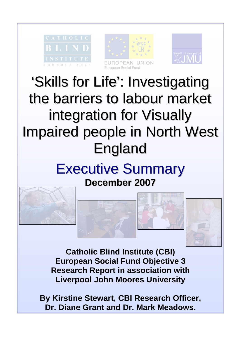





# 'Skills for Life': Investigating the barriers to labour market integration for Visually Impaired people in North West England

# Executive Summary **December 2007**



**Catholic Blind Institute (CBI) European Social Fund Objective 3 Research Report in association with Liverpool John Moores University** 

**By Kirstine Stewart, CBI Research Officer, Dr. Diane Grant and Dr. Mark Meadows.**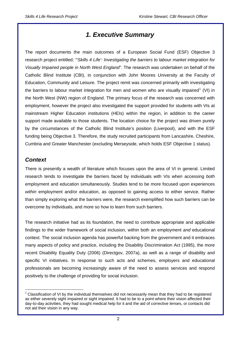## *1. Executive Summary*

The report documents the main outcomes of a European Social Fund (ESF) Objective 3 research project entitled; *"'Skills 4 Life': Investigating the barriers to labour market integration for Visually Impaired people in North West England"*. The research was undertaken on behalf of the Catholic Blind Institute (CBI), in conjunction with John Moores University at the Faculty of Education, Community and Leisure. The project remit was concerned primarily with investigating the barriers to labour market integration for men and women who are visually impaired<sup>[1](#page-1-0)</sup> (VI) in the North West (NW) region of England. The primary focus of the research was concerned with employment, however the project also investigated the support provided for students with VIs at mainstream Higher Education institutions (HEIs) within the region, in addition to the career support made available to those students. The location choice for the project was driven purely by the circumstances of the Catholic Blind Institute's position (Liverpool), and with the ESF funding being Objective 3. Therefore, the study recruited participants from Lancashire, Cheshire, Cumbria and Greater Manchester (excluding Merseyside, which holds ESF Objective 1 status).

#### *Context*

There is presently a wealth of literature which focuses upon the area of VI in general. Limited research tends to investigate the barriers faced by individuals with VIs when accessing *both* employment and education simultaneously. Studies tend to be more focused upon experiences *within* employment and/or education, as opposed to gaining access to either service. Rather than simply exploring what the barriers were, the research exemplified how such barriers can be overcome by individuals, and more so how to learn from such barriers.

The research initiative had as its foundation, the need to contribute appropriate and applicable findings to the wider framework of social inclusion, within both an employment *and* educational context. The social inclusion agenda has powerful backing from the government and it embraces many aspects of policy and practice, including the Disability Discrimination Act (1995), the more recent Disability Equality Duty (2006) (Directgov, 2007a), as well as a range of disability and specific VI initiatives. In response to such acts and schemes, employers and educational professionals are becoming increasingly aware of the need to assess services and respond positively to the challenge of providing for social inclusion.

<span id="page-1-0"></span> $\overline{a}$  $1$  Classification of VI by the individual themselves did not necessarily mean that they had to be registered as either severely sight impaired or sight impaired. It had to be to a point where their vision affected their day-to-day activities, they had sought medical help for it and the aid of corrective lenses, or contacts did not aid their vision in any way.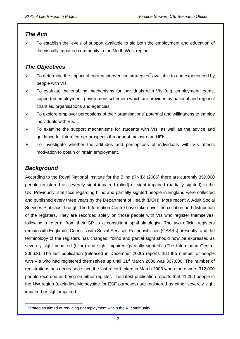#### *The Aim*

 $\triangleright$  To establish the levels of support available to aid both the employment and education of the visually impaired community in the North West region.

#### *The Objectives*

- $\triangleright$  To determine the impact of current intervention strategies<sup>[2](#page-2-0)</sup> available to and experienced by people with VIs.
- $\triangleright$  To evaluate the enabling mechanisms for individuals with VIs (e.g. employment teams, supported employment, government schemes) which are provided by national and regional charities, organisations and agencies.
- $\triangleright$  To explore employer perceptions of their organisations' potential and willingness to employ individuals with VIs.
- ¾ To examine the support mechanisms for students with VIs, as well as the advice and guidance for future career prospects throughout mainstream HEIs.
- $\triangleright$  To investigate whether the attitudes and perceptions of individuals with VIs affects motivation to obtain or retain employment.

#### *Background*

According to the Royal National Institute for the Blind (RNIB) (2006) there are currently 359,000 people registered as severely sight impaired (blind) or sight impaired (partially sighted) in the UK. Previously, statistics regarding blind and partially sighted people in England were collected and published every three years by the Department of Health (DOH). More recently, Adult Social Services Statistics through The Information Centre have taken over the collation and distribution of the registers. They are recorded solely on those people with VIs who register themselves, following a referral from their GP to a consultant ophthalmologist. The two official registers remain with England's Councils with Social Services Responsibilities (CSSRs) presently, and the terminology of the registers has changed, "blind and partial sight should now be expressed as severely sight impaired (blind) and sight impaired (partially sighted)" (The Information Centre, 2006:3). The last publication (released in December 2006) reports that the number of people with VIs who had registered themselves up until 31<sup>st</sup> March 2006 was 307,000. The number of registrations has decreased since the last record taken in March 2003 when there were 312,000 people recorded as being on either register. The latest publication reports that 41,250 people in the NW region (excluding Merseyside for ESF purposes) are registered as either severely sight impaired or sight impaired.

<span id="page-2-0"></span> $\overline{a}$  $2$  Strategies aimed at reducing unemployment within the VI community.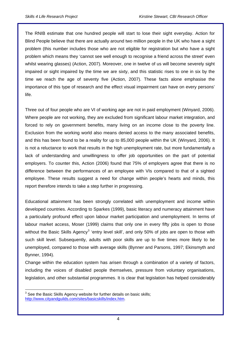The RNIB estimate that one hundred people will start to lose their sight everyday. Action for Blind People believe that there are actually around two million people in the UK who have a sight problem (this number includes those who are not eligible for registration but who have a sight problem which means they 'cannot see well enough to recognise a friend across the street' even whilst wearing glasses) (Action, 2007). Moreover, one in twelve of us will become severely sight impaired or sight impaired by the time we are sixty, and this statistic rises to one in six by the time we reach the age of seventy five (Action, 2007). These facts alone emphasise the importance of this type of research and the effect visual impairment can have on every persons' life.

Three out of four people who are VI of working age are not in paid employment (Winyard, 2006). Where people are not working, they are excluded from significant labour market integration, and forced to rely on government benefits, many living on an income close to the poverty line. Exclusion from the working world also means denied access to the many associated benefits, and this has been found to be a reality for up to 85,000 people within the UK (Winyard, 2006). It is not a reluctance to work that results in the high unemployment rate, but more fundamentally a lack of understanding and unwillingness to offer job opportunities on the part of potential employers. To counter this, Action (2006) found that 75% of employers agree that there is no difference between the performances of an employee with VIs compared to that of a sighted employee. These results suggest a need for change within people's hearts and minds, this report therefore intends to take a step further in progressing.

Educational attainment has been strongly correlated with unemployment and income within developed countries. According to Sparkes (1999), basic literacy and numeracy attainment have a particularly profound effect upon labour market participation and unemployment. In terms of labour market access, Moser (1999) claims that only one in every fifty jobs is open to those without the Basic Skills Agency<sup>[3](#page-3-0)</sup> 'entry level skill', and only 50% of jobs are open to those with such skill level. Subsequently, adults with poor skills are up to five times more likely to be unemployed, compared to those with average skills (Bynner and Parsons, 1997; Ekinsmyth and Bynner, 1994).

Change within the education system has arisen through a combination of a variety of factors, including the voices of disabled people themselves, pressure from voluntary organisations, legislation, and other substantial programmes. It is clear that legislation has helped considerably

<span id="page-3-0"></span> $\overline{a}$  $3$  See the Basic Skills Agency website for further details on basic skills; [http://www.cityandguilds.com/sites/basicskills/index.htm.](http://www.cityandguilds.com/sites/basicskills/index.htm)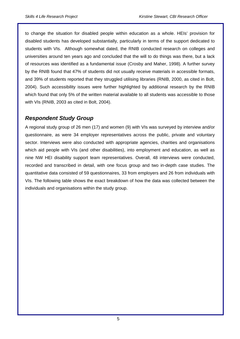to change the situation for disabled people within education as a whole. HEIs' provision for disabled students has developed substantially, particularly in terms of the support dedicated to students with VIs. Although somewhat dated, the RNIB conducted research on colleges and universities around ten years ago and concluded that the will to do things was there, but a lack of resources was identified as a fundamental issue (Crosby and Maher, 1998). A further survey by the RNIB found that 47% of students did not usually receive materials in accessible formats, and 39% of students reported that they struggled utilising libraries (RNIB, 2000, as cited in Bolt, 2004). Such accessibility issues were further highlighted by additional research by the RNIB which found that only 5% of the written material available to all students was accessible to those with VIs (RNIB, 2003 as cited in Bolt, 2004).

#### *Respondent Study Group*

A regional study group of 26 men (17) and women (9) with VIs was surveyed by interview and/or questionnaire, as were 34 employer representatives across the public, private and voluntary sector. Interviews were also conducted with appropriate agencies, charities and organisations which aid people with VIs (and other disabilities), into employment and education, as well as nine NW HEI disability support team representatives. Overall, 48 interviews were conducted, recorded and transcribed in detail, with one focus group and two in-depth case studies. The quantitative data consisted of 59 questionnaires, 33 from employers and 26 from individuals with VIs. The following table shows the exact breakdown of how the data was collected between the individuals and organisations within the study group.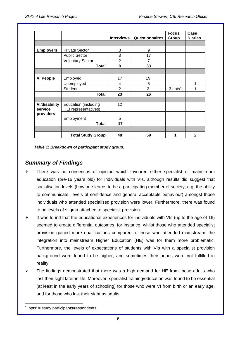|                                 |                                                            | <b>Interviews</b> | <b>Questionnaires</b> | <b>Focus</b>          | Case           |
|---------------------------------|------------------------------------------------------------|-------------------|-----------------------|-----------------------|----------------|
|                                 |                                                            |                   |                       | Group                 | <b>Diaries</b> |
|                                 |                                                            |                   |                       |                       |                |
| <b>Employers</b>                | <b>Private Sector</b>                                      | 3                 | 9                     |                       |                |
|                                 | <b>Public Sector</b>                                       | 3                 | 17                    |                       |                |
|                                 | <b>Voluntary Sector</b>                                    | $\overline{2}$    | 7                     |                       |                |
|                                 | <b>Total</b>                                               | 8                 | 33                    |                       |                |
|                                 |                                                            |                   |                       |                       |                |
| <b>VI People</b>                | Employed                                                   | 17                | 19                    |                       |                |
|                                 | Unemployed                                                 | 4                 | 5                     |                       | 1              |
|                                 | <b>Student</b>                                             | $\overline{2}$    | $\overline{2}$        | $3$ ppts <sup>4</sup> | 1              |
|                                 | <b>Total</b>                                               | 23                | 26                    |                       |                |
|                                 |                                                            |                   |                       |                       |                |
| <b>VI/disability</b><br>service | <b>Education (including</b><br><b>HEI</b> representatives) | 12                |                       |                       |                |
| providers                       | Employment                                                 | 5                 |                       |                       |                |
|                                 | <b>Total</b>                                               | 17                |                       |                       |                |
|                                 |                                                            |                   |                       |                       |                |
|                                 | <b>Total Study Group</b>                                   | 48                | 59                    |                       | $\mathbf{2}$   |

 *Table 1: Breakdown of participant study group.* 

#### *Summary of Findings*

- There was no consensus of opinion which favoured either specialist or mainstream education (pre-16 years old) for individuals with VIs, although results did suggest that socialisation levels (how one learns to be a participating member of society; e.g. the ability to communicate, levels of confidence and general acceptable behaviour) amongst those individuals who attended specialised provision were lower. Furthermore, there was found to be levels of stigma attached to specialist provision.
- $\triangleright$  It was found that the educational experiences for individuals with VIs (up to the age of 16) seemed to create differential outcomes, for instance, whilst those who attended specialist provision gained more qualifications compared to those who attended mainstream, the integration into mainstream Higher Education (HE) was for them more problematic. Furthermore, the levels of expectations of students with VIs with a specialist provision background were found to be higher, and sometimes their hopes were not fulfilled in reality.
- $\triangleright$  The findings demonstrated that there was a high demand for HE from those adults who lost their sight later in life. Moreover, specialist training/education was found to be essential (at least in the early years of schooling) for those who were VI from birth or an early age, and for those who lost their sight as adults.

<span id="page-5-0"></span> $\overline{a}$  $4$  'ppts' = study participants/respondents.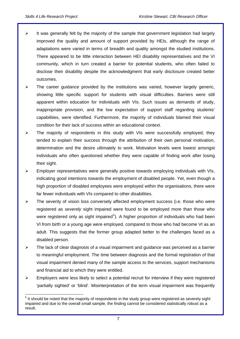$\overline{a}$ 

- $\triangleright$  It was generally felt by the majority of the sample that government legislation had largely improved the quality and amount of support provided by HEIs, although the range of adaptations were varied in terms of breadth and quality amongst the studied institutions. There appeared to be little interaction between HEI disability representatives and the VI community, which in turn created a barrier for potential students, who often failed to disclose their disability despite the acknowledgment that early disclosure created better outcomes.
- $\triangleright$  The career guidance provided by the institutions was varied, however largely generic, showing little specific support for students with visual difficulties. Barriers were still apparent within education for individuals with VIs. Such issues as demands of study, inappropriate provision, and the low expectation of support staff regarding students' capabilities, were identified. Furthermore, the majority of individuals blamed their visual condition for their lack of success within an educational context.
- $\triangleright$  The majority of respondents in this study with VIs were successfully employed; they tended to explain their success through the attribution of their own personal motivation, determination and the desire ultimately to work. Motivation levels were lowest amongst individuals who often questioned whether they were capable of finding work after losing their sight.
- $\triangleright$  Employer representatives were generally positive towards employing individuals with VIs, indicating good intentions towards the employment of disabled people. Yet, even though a high proportion of disabled employees were employed within the organisations, there were far fewer individuals with VIs compared to other disabilities.
- $\triangleright$  The severity of vision loss conversely affected employment success (i.e. those who were registered as *severely* sight impaired were found to be employed more than those who were registered only as sight impaired<sup>[5](#page-6-0)</sup>). A higher proportion of individuals who had been VI from birth or a young age were employed, compared to those who had become VI as an adult. This suggests that the former group adapted better to the challenges faced as a disabled person.
- $\triangleright$  The lack of clear diagnosis of a visual impairment and guidance was perceived as a barrier to meaningful employment. The time between diagnosis and the formal registration of that visual impairment denied many of the sample access to the services, support mechanisms and financial aid to which they were entitled.
- $\triangleright$  Employers were less likely to select a potential recruit for interview if they were registered 'partially sighted' or 'blind'. Misinterpretation of the term visual impairment was frequently

<span id="page-6-0"></span> $<sup>5</sup>$  It should be noted that the majority of respondents in the study group were registered as severely sight</sup> impaired and due to the overall small sample, the finding cannot be considered statistically robust as a result.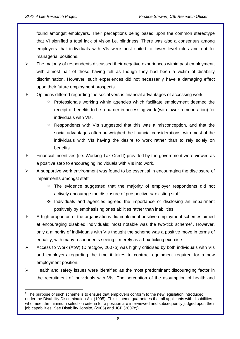$\overline{a}$ 

found amongst employers. Their perceptions being based upon the common stereotype that VI signified a total lack of vision i.e. blindness. There was also a consensus among employers that individuals with VIs were best suited to lower level roles and not for managerial positions.

- $\triangleright$  The majority of respondents discussed their negative experiences within past employment, with almost half of those having felt as though they had been a victim of disability discrimination. However, such experiences did not necessarily have a damaging effect upon their future employment prospects.
- $\triangleright$  Opinions differed regarding the social versus financial advantages of accessing work.
	- Professionals working within agencies which facilitate employment deemed the receipt of benefits to be a barrier in accessing work (with lower remuneration) for individuals with VIs.
	- Respondents with VIs suggested that this was a misconception, and that the social advantages often outweighed the financial considerations, with most of the individuals with VIs having the desire to work rather than to rely solely on benefits.
- $\triangleright$  Financial incentives (i.e. Working Tax Credit) provided by the government were viewed as a positive step to encouraging individuals with VIs into work.
- $\triangleright$  A supportive work environment was found to be essential in encouraging the disclosure of impairments amongst staff.
	- The evidence suggested that the majority of employer respondents did not actively encourage the disclosure of prospective *or* existing staff.
	- $\cdot$  Individuals and agencies agreed the importance of disclosing an impairment positively by emphasising ones abilities rather than inabilities.
- ¾ A high proportion of the organisations did implement positive employment schemes aimed at encouraging disabled individuals; most notable was the two-tick scheme<sup>[6](#page-7-0)</sup>. However, only a minority of individuals with VIs thought the scheme was a positive move in terms of equality, with many respondents seeing it merely as a box-ticking exercise.
- ¾ Access to Work (AtW) (Directgov, 2007b) was highly criticised by both individuals with VIs and employers regarding the time it takes to contract equipment required for a new employment position.
- $\triangleright$  Health and safety issues were identified as the most predominant discouraging factor in the recruitment of individuals with VIs. The perception of the assumption of health and

<span id="page-7-0"></span> $6$  The purpose of such scheme is to ensure that employers conform to the new legislation introduced under the Disability Discrimination Act (1995). This scheme guarantees that all applicants with disabilities who meet the minimum selection criteria for a position are interviewed and subsequently judged upon their job capabilities. See Disability Jobsite, (2005) and JCP (2007c)).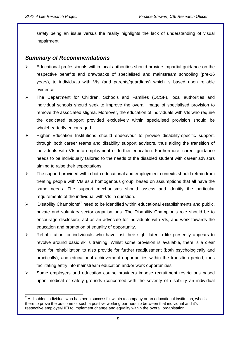$\overline{a}$ 

safety being an issue versus the reality highlights the lack of understanding of visual impairment.

#### *Summary of Recommendations*

- $\triangleright$  Educational professionals within local authorities should provide impartial quidance on the respective benefits and drawbacks of specialised and mainstream schooling (pre-16 years), to individuals with VIs (and parents/guardians) which is based upon reliable evidence.
- ¾ The Department for Children, Schools and Families (DCSF), local authorities and individual schools should seek to improve the overall image of specialised provision to remove the associated stigma. Moreover, the education of individuals with VIs who require the dedicated support provided exclusively within specialised provision should be wholeheartedly encouraged.
- ¾ Higher Education Institutions should endeavour to provide disability-specific support, through both career teams and disability support advisors, thus aiding the transition of individuals with VIs into employment or further education. Furthermore, career guidance needs to be individually tailored to the needs of the disabled student with career advisors aiming to raise their expectations.
- $\triangleright$  The support provided within both educational and employment contexts should refrain from treating people with VIs as a homogenous group, based on assumptions that all have the same needs. The support mechanisms should assess and identify the particular requirements of the individual with VIs in question.
- $\triangleright$  'Disability Champions'<sup>[7](#page-8-0)</sup> need to be identified within educational establishments and public, private and voluntary sector organisations. The Disability Champion's role should be to encourage disclosure, act as an advocate for individuals with VIs, and work towards the education and promotion of equality of opportunity.
- $\triangleright$  Rehabilitation for individuals who have lost their sight later in life presently appears to revolve around basic skills training. Whilst some provision is available, there is a clear need for rehabilitation to also provide for further readjustment (both psychologically and practically), and educational achievement opportunities within the transition period, thus facilitating entry into mainstream education and/or work opportunities.
- Some employers and education course providers impose recruitment restrictions based upon medical or safety grounds (concerned with the severity of disability an individual

<span id="page-8-0"></span> $^7$  A disabled individual who has been successful within a company or an educational institution, who is there to prove the outcome of such a positive working partnership between that individual and it's respective employer/HEI to implement change and equality within the overall organisation.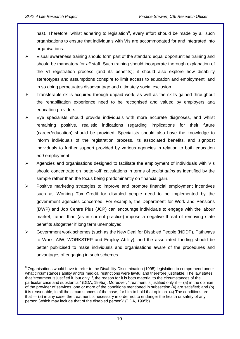has). Therefore, whilst adhering to legislation<sup>[8](#page-9-0)</sup>, every effort should be made by all such organisations to ensure that individuals with VIs are accommodated for and integrated into organisations.

- $\triangleright$  Visual awareness training should form part of the standard equal opportunities training and should be mandatory for *all* staff. Such training should incorporate thorough explanation of the VI registration process (and its benefits); it should also explore how disability stereotypes and assumptions conspire to limit access to education and employment, and in so doing perpetuates disadvantage and ultimately social exclusion.
- $\triangleright$  Transferable skills acquired through unpaid work, as well as the skills gained throughout the rehabilitation experience need to be recognised and valued by employers ana education providers.
- $\triangleright$  Eye specialists should provide individuals with more accurate diagnoses, and whilst remaining positive, realistic indications regarding implications for their future (career/education) should be provided. Specialists should also have the knowledge to inform individuals of the registration process, its associated benefits, and signpost individuals to further support provided by various agencies in relation to both education *and* employment.
- ¾ Agencies and organisations designed to facilitate the employment of individuals with VIs should concentrate on 'better-off' calculations in terms of *social gains* as identified by the sample rather than the focus being predominantly on financial gain.
- ¾ Positive marketing strategies to improve and promote financial employment incentives such as Working Tax Credit for disabled people need to be implemented by the government agencies concerned. For example, the Department for Work and Pensions (DWP) and Job Centre Plus (JCP) can encourage individuals to engage with the labour market, rather than (as in current practice) impose a negative threat of removing state benefits altogether if long term unemployed.
- ¾ Government work schemes (such as the New Deal for Disabled People (NDDP), Pathways to Work, AtW, WORKSTEP and Employ Ability), and the associated funding should be better publicised to make individuals and organisations aware of the procedures and advantages of engaging in such schemes.

<span id="page-9-0"></span> $\overline{a}$ <sup>8</sup> Organisations would have to refer to the Disability Discrimination (1995) legislation to comprehend under what circumstances ability and/or medical restrictions were lawful and therefore justifiable. The law states that "treatment is justified if, but only if, the reason for it is both material to the circumstances of the particular case and substantial" (DDA, 1995a). Moreover, "treatment is justified only if — (a) in the opinion of the provider of services, one or more of the conditions mentioned in subsection (4) are satisfied; and (b) it is reasonable, in all the circumstances of the case, for him to hold that opinion. (4) The conditions are that — (a) in any case, the treatment is necessary in order not to endanger the health or safety of any person (which may include that of the disabled person)" (DDA, 1995b).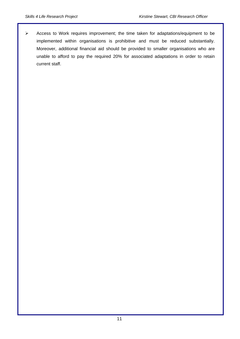¾ Access to Work requires improvement; the time taken for adaptations/equipment to be implemented within organisations is prohibitive and must be reduced substantially. Moreover, additional financial aid should be provided to smaller organisations who are unable to afford to pay the required 20% for associated adaptations in order to retain current staff.